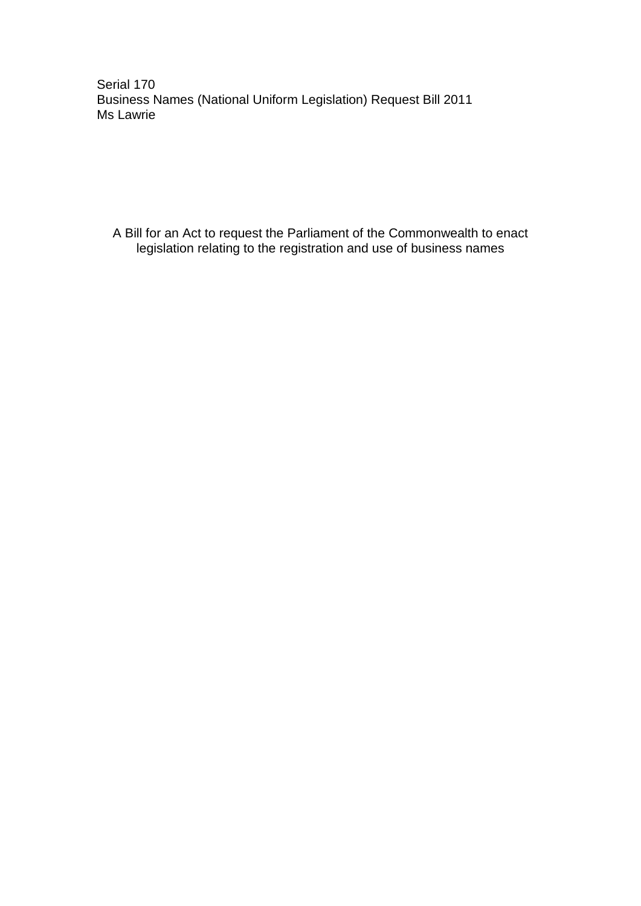Serial 170 Business Names (National Uniform Legislation) Request Bill 2011 Ms Lawrie

A Bill for an Act to request the Parliament of the Commonwealth to enact legislation relating to the registration and use of business names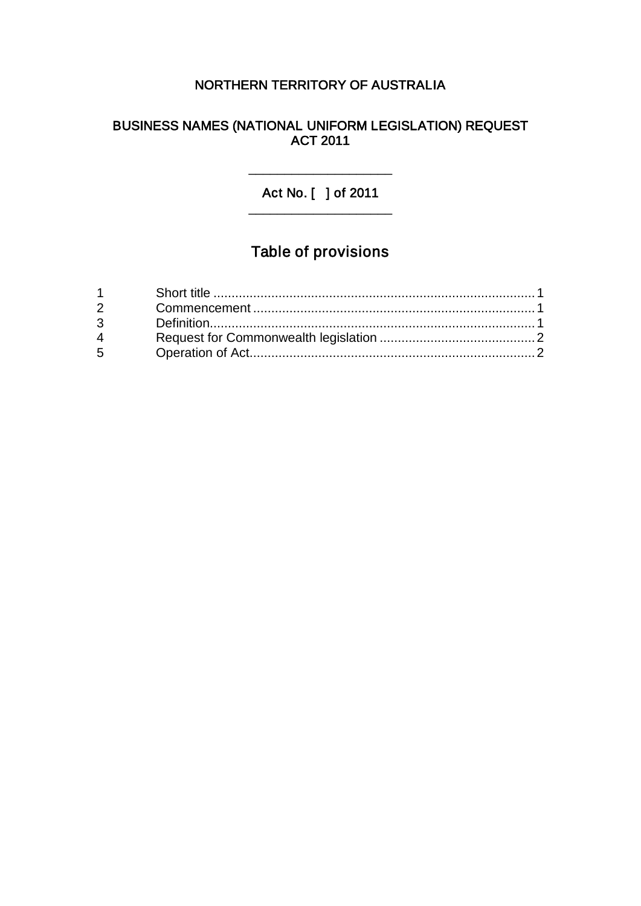# NORTHERN TERRITORY OF AUSTRALIA

#### BUSINESS NAMES (NATIONAL UNIFORM LEGISLATION) REQUEST ACT 2011

#### Act No. [ ] of 2011 \_\_\_\_\_\_\_\_\_\_\_\_\_\_\_\_\_\_\_\_

\_\_\_\_\_\_\_\_\_\_\_\_\_\_\_\_\_\_\_\_

# Table of provisions

| $2 \left( \frac{1}{2} \right)$ |  |
|--------------------------------|--|
| $3^{\circ}$                    |  |
| $4\overline{ }$                |  |
| $5^{\circ}$                    |  |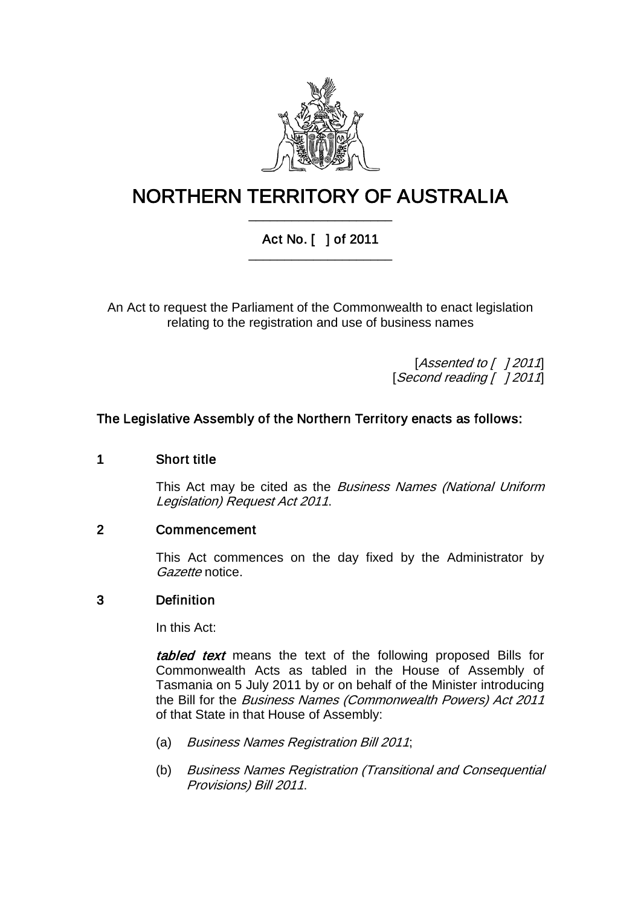

# NORTHERN TERRITORY OF AUSTRALIA \_\_\_\_\_\_\_\_\_\_\_\_\_\_\_\_\_\_\_\_

## Act No. [ ] of 2011 \_\_\_\_\_\_\_\_\_\_\_\_\_\_\_\_\_\_\_\_

An Act to request the Parliament of the Commonwealth to enact legislation relating to the registration and use of business names

> [Assented to  $[$  ] 2011] [Second reading [ ] 2011]

### The Legislative Assembly of the Northern Territory enacts as follows:

#### 1 Short title

This Act may be cited as the *Business Names (National Uniform* Legislation) Request Act 2011.

#### 2 Commencement

This Act commences on the day fixed by the Administrator by Gazette notice.

#### 3 Definition

In this Act:

tabled text means the text of the following proposed Bills for Commonwealth Acts as tabled in the House of Assembly of Tasmania on 5 July 2011 by or on behalf of the Minister introducing the Bill for the Business Names (Commonwealth Powers) Act 2011 of that State in that House of Assembly:

- (a) Business Names Registration Bill 2011;
- (b) Business Names Registration (Transitional and Consequential Provisions) Bill 2011.